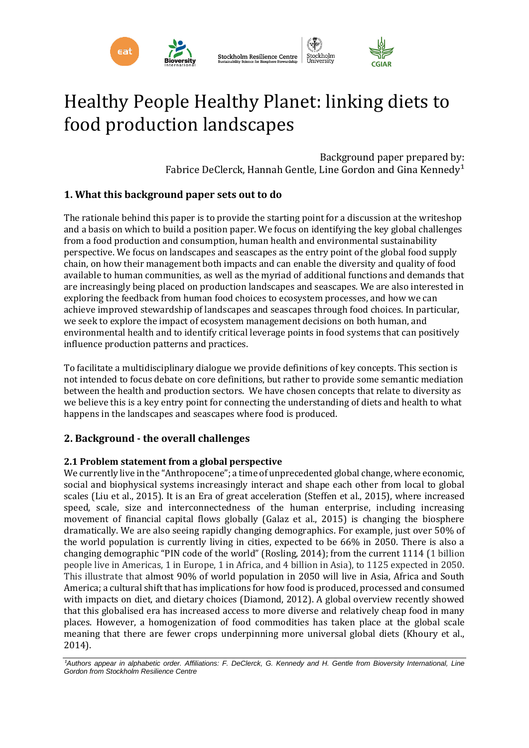

# Healthy People Healthy Planet: linking diets to food production landscapes

Background paper prepared by: Fabrice DeClerck, Hannah Gentle, Line Gordon and Gina Kennedy<sup>1</sup>

# **1. What this background paper sets out to do**

The rationale behind this paper is to provide the starting point for a discussion at the writeshop and a basis on which to build a position paper. We focus on identifying the key global challenges from a food production and consumption, human health and environmental sustainability perspective. We focus on landscapes and seascapes as the entry point of the global food supply chain, on how their management both impacts and can enable the diversity and quality of food available to human communities, as well as the myriad of additional functions and demands that are increasingly being placed on production landscapes and seascapes. We are also interested in exploring the feedback from human food choices to ecosystem processes, and how we can achieve improved stewardship of landscapes and seascapes through food choices. In particular, we seek to explore the impact of ecosystem management decisions on both human, and environmental health and to identify critical leverage points in food systems that can positively influence production patterns and practices.

To facilitate a multidisciplinary dialogue we provide definitions of key concepts. This section is not intended to focus debate on core definitions, but rather to provide some semantic mediation between the health and production sectors. We have chosen concepts that relate to diversity as we believe this is a key entry point for connecting the understanding of diets and health to what happens in the landscapes and seascapes where food is produced.

# **2. Background - the overall challenges**

# **2.1 Problem statement from a global perspective**

We currently live in the "Anthropocene"; a time of unprecedented global change, where economic, social and biophysical systems increasingly interact and shape each other from local to global scales (Liu et al., 2015). It is an Era of great acceleration (Steffen et al., 2015), where increased speed, scale, size and interconnectedness of the human enterprise, including increasing movement of financial capital flows globally (Galaz et al., 2015) is changing the biosphere dramatically. We are also seeing rapidly changing demographics. For example, just over 50% of the world population is currently living in cities, expected to be 66% in 2050. There is also a changing demographic "PIN code of the world" (Rosling, 2014); from the current 1114 (1 billion people live in Americas, 1 in Europe, 1 in Africa, and 4 billion in Asia), to 1125 expected in 2050. This illustrate that almost 90% of world population in 2050 will live in Asia, Africa and South America; a cultural shift that has implications for how food is produced, processed and consumed with impacts on diet, and dietary choices (Diamond, 2012). A global overview recently showed that this globalised era has increased access to more diverse and relatively cheap food in many places. However, a homogenization of food commodities has taken place at the global scale meaning that there are fewer crops underpinning more universal global diets (Khoury et al., 2014).

<sup>1</sup>Authors appear in alphabetic order. Affiliations: F. DeClerck, G. Kennedy and H. Gentle from Bioversity International, Line *Gordon from Stockholm Resilience Centre*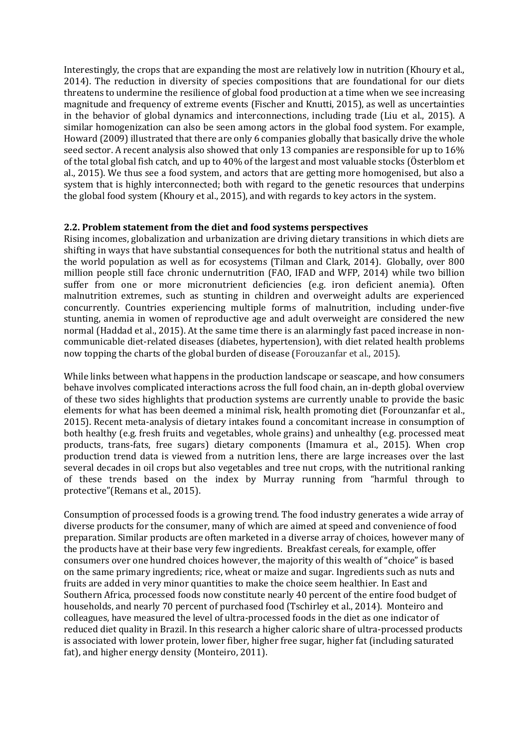Interestingly, the crops that are expanding the most are relatively low in nutrition (Khoury et al., 2014). The reduction in diversity of species compositions that are foundational for our diets threatens to undermine the resilience of global food production at a time when we see increasing magnitude and frequency of extreme events (Fischer and Knutti, 2015), as well as uncertainties in the behavior of global dynamics and interconnections, including trade (Liu et al., 2015). A similar homogenization can also be seen among actors in the global food system. For example, Howard (2009) illustrated that there are only 6 companies globally that basically drive the whole seed sector. A recent analysis also showed that only 13 companies are responsible for up to 16% of the total global fish catch, and up to 40% of the largest and most valuable stocks (Österblom et al., 2015). We thus see a food system, and actors that are getting more homogenised, but also a system that is highly interconnected; both with regard to the genetic resources that underpins the global food system (Khoury et al., 2015), and with regards to key actors in the system.

## **2.2. Problem statement from the diet and food systems perspectives**

Rising incomes, globalization and urbanization are driving dietary transitions in which diets are shifting in ways that have substantial consequences for both the nutritional status and health of the world population as well as for ecosystems (Tilman and Clark, 2014). Globally, over 800 million people still face chronic undernutrition (FAO, IFAD and WFP, 2014) while two billion suffer from one or more micronutrient deficiencies (e.g. iron deficient anemia). Often malnutrition extremes, such as stunting in children and overweight adults are experienced concurrently. Countries experiencing multiple forms of malnutrition, including under-five stunting, anemia in women of reproductive age and adult overweight are considered the new normal (Haddad et al., 2015). At the same time there is an alarmingly fast paced increase in noncommunicable diet-related diseases (diabetes, hypertension), with diet related health problems now topping the charts of the global burden of disease (Forouzanfar et al., 2015).

While links between what happens in the production landscape or seascape, and how consumers behave involves complicated interactions across the full food chain, an in-depth global overview of these two sides highlights that production systems are currently unable to provide the basic elements for what has been deemed a minimal risk, health promoting diet (Forounzanfar et al., 2015). Recent meta-analysis of dietary intakes found a concomitant increase in consumption of both healthy (e.g. fresh fruits and vegetables, whole grains) and unhealthy (e.g. processed meat products, trans-fats, free sugars) dietary components (Imamura et al., 2015). When crop production trend data is viewed from a nutrition lens, there are large increases over the last several decades in oil crops but also vegetables and tree nut crops, with the nutritional ranking of these trends based on the index by Murray running from "harmful through to protective"(Remans et al., 2015).

Consumption of processed foods is a growing trend. The food industry generates a wide array of diverse products for the consumer, many of which are aimed at speed and convenience of food preparation. Similar products are often marketed in a diverse array of choices, however many of the products have at their base very few ingredients. Breakfast cereals, for example, offer consumers over one hundred choices however, the majority of this wealth of "choice" is based on the same primary ingredients; rice, wheat or maize and sugar. Ingredients such as nuts and fruits are added in very minor quantities to make the choice seem healthier. In East and Southern Africa, processed foods now constitute nearly 40 percent of the entire food budget of households, and nearly 70 percent of purchased food (Tschirley et al., 2014). Monteiro and colleagues, have measured the level of ultra-processed foods in the diet as one indicator of reduced diet quality in Brazil. In this research a higher caloric share of ultra-processed products is associated with lower protein, lower fiber, higher free sugar, higher fat (including saturated fat), and higher energy density (Monteiro, 2011).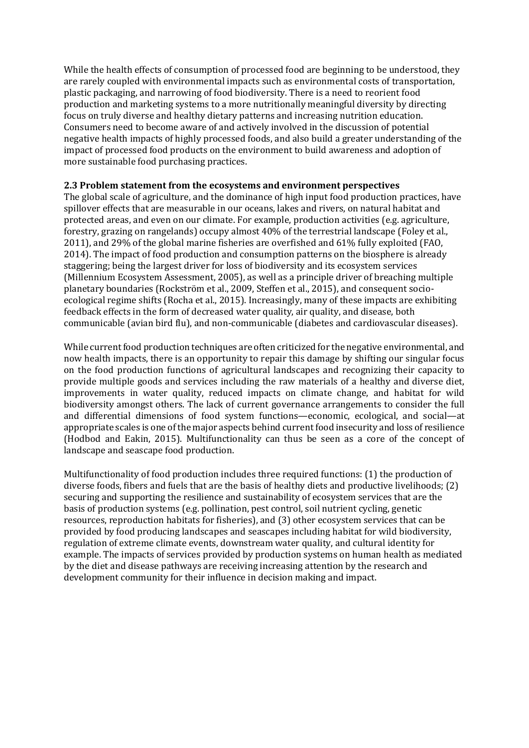While the health effects of consumption of processed food are beginning to be understood, they are rarely coupled with environmental impacts such as environmental costs of transportation, plastic packaging, and narrowing of food biodiversity. There is a need to reorient food production and marketing systems to a more nutritionally meaningful diversity by directing focus on truly diverse and healthy dietary patterns and increasing nutrition education. Consumers need to become aware of and actively involved in the discussion of potential negative health impacts of highly processed foods, and also build a greater understanding of the impact of processed food products on the environment to build awareness and adoption of more sustainable food purchasing practices.

#### **2.3 Problem statement from the ecosystems and environment perspectives**

The global scale of agriculture, and the dominance of high input food production practices, have spillover effects that are measurable in our oceans, lakes and rivers, on natural habitat and protected areas, and even on our climate. For example, production activities (e.g. agriculture, forestry, grazing on rangelands) occupy almost 40% of the terrestrial landscape (Foley et al., 2011), and 29% of the global marine fisheries are overfished and 61% fully exploited (FAO, 2014). The impact of food production and consumption patterns on the biosphere is already staggering; being the largest driver for loss of biodiversity and its ecosystem services (Millennium Ecosystem Assessment, 2005), as well as a principle driver of breaching multiple planetary boundaries (Rockström et al., 2009, Steffen et al., 2015), and consequent socioecological regime shifts (Rocha et al., 2015). Increasingly, many of these impacts are exhibiting feedback effects in the form of decreased water quality, air quality, and disease, both communicable (avian bird flu), and non-communicable (diabetes and cardiovascular diseases).

While current food production techniques are often criticized for the negative environmental, and now health impacts, there is an opportunity to repair this damage by shifting our singular focus on the food production functions of agricultural landscapes and recognizing their capacity to provide multiple goods and services including the raw materials of a healthy and diverse diet, improvements in water quality, reduced impacts on climate change, and habitat for wild biodiversity amongst others. The lack of current governance arrangements to consider the full and differential dimensions of food system functions—economic, ecological, and social—at appropriate scales is one of the major aspects behind current food insecurity and loss of resilience (Hodbod and Eakin, 2015). Multifunctionality can thus be seen as a core of the concept of landscape and seascape food production.

Multifunctionality of food production includes three required functions: (1) the production of diverse foods, fibers and fuels that are the basis of healthy diets and productive livelihoods; (2) securing and supporting the resilience and sustainability of ecosystem services that are the basis of production systems (e.g. pollination, pest control, soil nutrient cycling, genetic resources, reproduction habitats for fisheries), and (3) other ecosystem services that can be provided by food producing landscapes and seascapes including habitat for wild biodiversity, regulation of extreme climate events, downstream water quality, and cultural identity for example. The impacts of services provided by production systems on human health as mediated by the diet and disease pathways are receiving increasing attention by the research and development community for their influence in decision making and impact.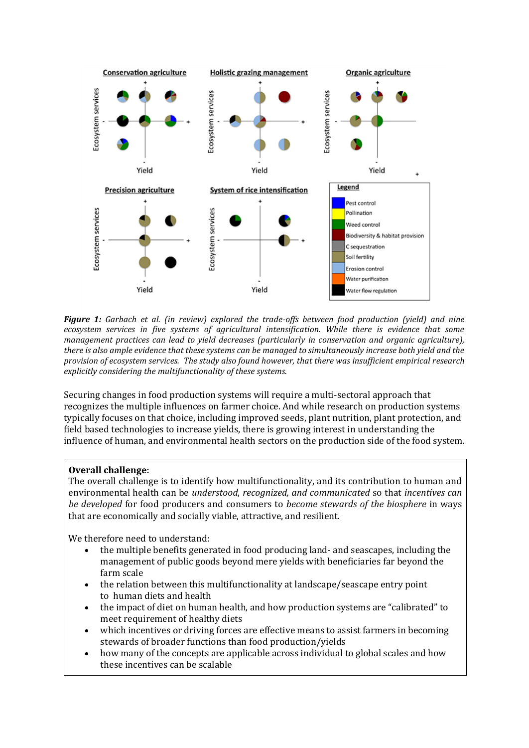

*Figure 1: Garbach et al. (in review) explored the trade-offs between food production (yield) and nine ecosystem services in five systems of agricultural intensification. While there is evidence that some management practices can lead to yield decreases (particularly in conservation and organic agriculture), there is also ample evidence that these systems can be managed to simultaneously increase both yield and the provision of ecosystem services. The study also found however, that there was insufficient empirical research explicitly considering the multifunctionality of these systems.*

Securing changes in food production systems will require a multi-sectoral approach that recognizes the multiple influences on farmer choice. And while research on production systems typically focuses on that choice, including improved seeds, plant nutrition, plant protection, and field based technologies to increase yields, there is growing interest in understanding the influence of human, and environmental health sectors on the production side of the food system.

# **Overall challenge:**

The overall challenge is to identify how multifunctionality, and its contribution to human and environmental health can be *understood*, *recognized, and communicated* so that *incentives can be developed* for food producers and consumers to *become stewards of the biosphere* in ways that are economically and socially viable, attractive, and resilient.

We therefore need to understand:

- the multiple benefits generated in food producing land- and seascapes, including the management of public goods beyond mere yields with beneficiaries far beyond the farm scale
- the relation between this multifunctionality at landscape/seascape entry point to human diets and health
- the impact of diet on human health, and how production systems are "calibrated" to meet requirement of healthy diets
- which incentives or driving forces are effective means to assist farmers in becoming stewards of broader functions than food production/yields
- how many of the concepts are applicable across individual to global scales and how these incentives can be scalable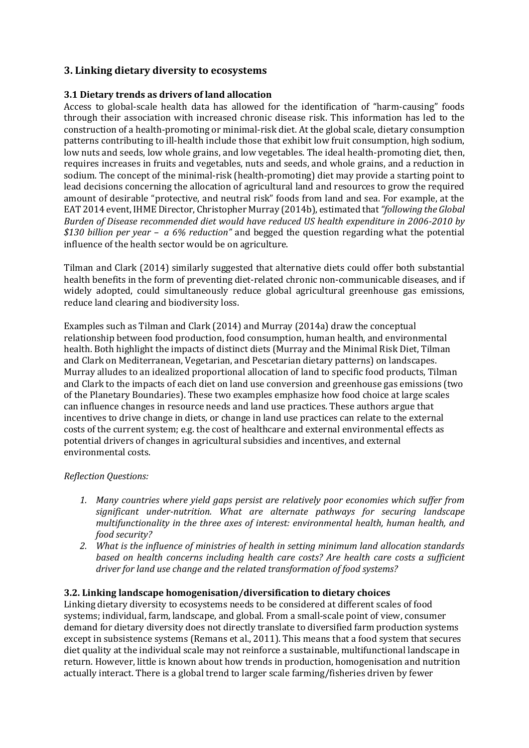# **3. Linking dietary diversity to ecosystems**

# **3.1 Dietary trends as drivers of land allocation**

Access to global-scale health data has allowed for the identification of "harm-causing" foods through their association with increased chronic disease risk. This information has led to the construction of a health-promoting or minimal-risk diet. At the global scale, dietary consumption patterns contributing to ill-health include those that exhibit low fruit consumption, high sodium, low nuts and seeds, low whole grains, and low vegetables. The ideal health-promoting diet, then, requires increases in fruits and vegetables, nuts and seeds, and whole grains, and a reduction in sodium. The concept of the minimal-risk (health-promoting) diet may provide a starting point to lead decisions concerning the allocation of agricultural land and resources to grow the required amount of desirable "protective, and neutral risk" foods from land and sea. For example, at the EAT 2014 event, IHME Director, Christopher Murray (2014b), estimated that *"following the Global Burden of Disease recommended diet would have reduced US health expenditure in 2006-2010 by \$130 billion per year – a 6% reduction"* and begged the question regarding what the potential influence of the health sector would be on agriculture.

Tilman and Clark (2014) similarly suggested that alternative diets could offer both substantial health benefits in the form of preventing diet-related chronic non-communicable diseases, and if widely adopted, could simultaneously reduce global agricultural greenhouse gas emissions, reduce land clearing and biodiversity loss.

Examples such as Tilman and Clark (2014) and Murray (2014a) draw the conceptual relationship between food production, food consumption, human health, and environmental health. Both highlight the impacts of distinct diets (Murray and the Minimal Risk Diet, Tilman and Clark on Mediterranean, Vegetarian, and Pescetarian dietary patterns) on landscapes. Murray alludes to an idealized proportional allocation of land to specific food products, Tilman and Clark to the impacts of each diet on land use conversion and greenhouse gas emissions (two of the Planetary Boundaries). These two examples emphasize how food choice at large scales can influence changes in resource needs and land use practices. These authors argue that incentives to drive change in diets, or change in land use practices can relate to the external costs of the current system; e.g. the cost of healthcare and external environmental effects as potential drivers of changes in agricultural subsidies and incentives, and external environmental costs.

# *Reflection Questions:*

- *1. Many countries where yield gaps persist are relatively poor economies which suffer from significant under-nutrition. What are alternate pathways for securing landscape multifunctionality in the three axes of interest: environmental health, human health, and food security?*
- *2. What is the influence of ministries of health in setting minimum land allocation standards based on health concerns including health care costs? Are health care costs a sufficient driver for land use change and the related transformation of food systems?*

# **3.2. Linking landscape homogenisation/diversification to dietary choices**

Linking dietary diversity to ecosystems needs to be considered at different scales of food systems; individual, farm, landscape, and global. From a small-scale point of view, consumer demand for dietary diversity does not directly translate to diversified farm production systems except in subsistence systems (Remans et al., 2011). This means that a food system that secures diet quality at the individual scale may not reinforce a sustainable, multifunctional landscape in return. However, little is known about how trends in production, homogenisation and nutrition actually interact. There is a global trend to larger scale farming/fisheries driven by fewer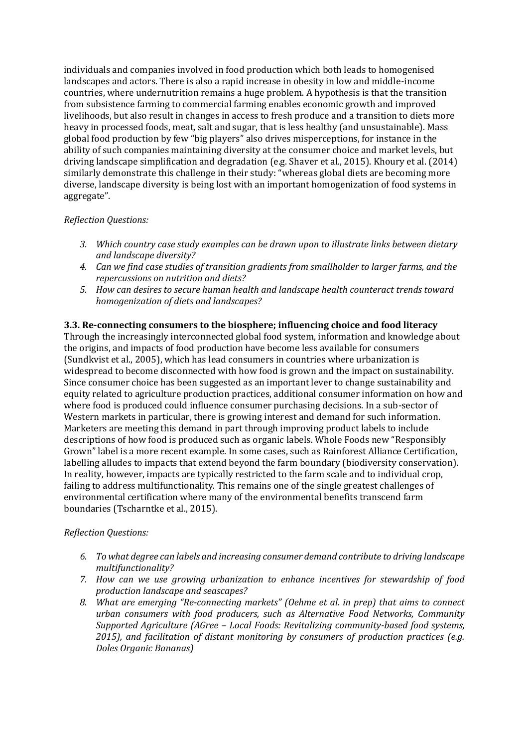individuals and companies involved in food production which both leads to homogenised landscapes and actors. There is also a rapid increase in obesity in low and middle-income countries, where undernutrition remains a huge problem. A hypothesis is that the transition from subsistence farming to commercial farming enables economic growth and improved livelihoods, but also result in changes in access to fresh produce and a transition to diets more heavy in processed foods, meat, salt and sugar, that is less healthy (and unsustainable). Mass global food production by few "big players" also drives misperceptions, for instance in the ability of such companies maintaining diversity at the consumer choice and market levels, but driving landscape simplification and degradation (e.g. Shaver et al., 2015). Khoury et al. (2014) similarly demonstrate this challenge in their study: "whereas global diets are becoming more diverse, landscape diversity is being lost with an important homogenization of food systems in aggregate".

# *Reflection Questions:*

- *3. Which country case study examples can be drawn upon to illustrate links between dietary and landscape diversity?*
- *4. Can we find case studies of transition gradients from smallholder to larger farms, and the repercussions on nutrition and diets?*
- *5. How can desires to secure human health and landscape health counteract trends toward homogenization of diets and landscapes?*

# **3.3. Re-connecting consumers to the biosphere; influencing choice and food literacy**

Through the increasingly interconnected global food system, information and knowledge about the origins, and impacts of food production have become less available for consumers (Sundkvist et al., 2005), which has lead consumers in countries where urbanization is widespread to become disconnected with how food is grown and the impact on sustainability. Since consumer choice has been suggested as an important lever to change sustainability and equity related to agriculture production practices, additional consumer information on how and where food is produced could influence consumer purchasing decisions. In a sub-sector of Western markets in particular, there is growing interest and demand for such information. Marketers are meeting this demand in part through improving product labels to include descriptions of how food is produced such as organic labels. Whole Foods new "Responsibly Grown" label is a more recent example. In some cases, such as Rainforest Alliance Certification, labelling alludes to impacts that extend beyond the farm boundary (biodiversity conservation). In reality, however, impacts are typically restricted to the farm scale and to individual crop, failing to address multifunctionality. This remains one of the single greatest challenges of environmental certification where many of the environmental benefits transcend farm boundaries (Tscharntke et al., 2015).

# *Reflection Questions:*

- *6. To what degree can labels and increasing consumer demand contribute to driving landscape multifunctionality?*
- *7. How can we use growing urbanization to enhance incentives for stewardship of food production landscape and seascapes?*
- *8. What are emerging "Re-connecting markets" (Oehme et al. in prep) that aims to connect urban consumers with food producers, such as Alternative Food Networks, Community Supported Agriculture (AGree – Local Foods: Revitalizing community-based food systems, 2015), and facilitation of distant monitoring by consumers of production practices (e.g. Doles Organic Bananas)*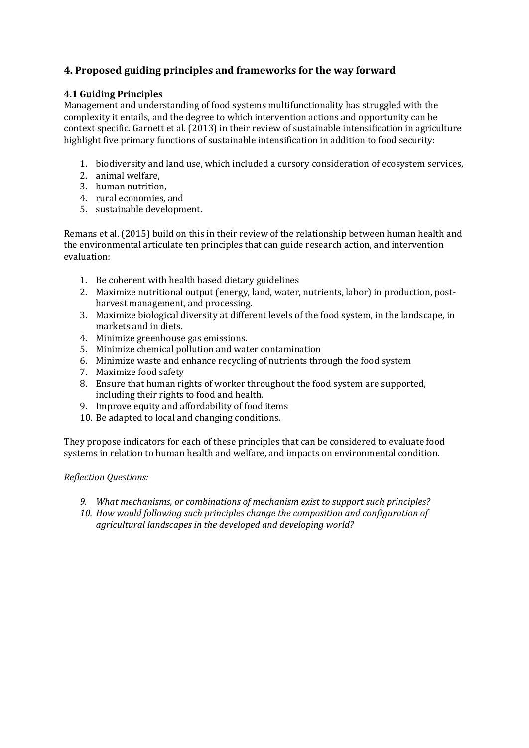# **4. Proposed guiding principles and frameworks for the way forward**

# **4.1 Guiding Principles**

Management and understanding of food systems multifunctionality has struggled with the complexity it entails, and the degree to which intervention actions and opportunity can be context specific. Garnett et al. (2013) in their review of sustainable intensification in agriculture highlight five primary functions of sustainable intensification in addition to food security:

- 1. biodiversity and land use, which included a cursory consideration of ecosystem services,
- 2. animal welfare,
- 3. human nutrition,
- 4. rural economies, and
- 5. sustainable development.

Remans et al. (2015) build on this in their review of the relationship between human health and the environmental articulate ten principles that can guide research action, and intervention evaluation:

- 1. Be coherent with health based dietary guidelines
- 2. Maximize nutritional output (energy, land, water, nutrients, labor) in production, postharvest management, and processing.
- 3. Maximize biological diversity at different levels of the food system, in the landscape, in markets and in diets.
- 4. Minimize greenhouse gas emissions.
- 5. Minimize chemical pollution and water contamination
- 6. Minimize waste and enhance recycling of nutrients through the food system
- 7. Maximize food safety
- 8. Ensure that human rights of worker throughout the food system are supported, including their rights to food and health.
- 9. Improve equity and affordability of food items
- 10. Be adapted to local and changing conditions.

They propose indicators for each of these principles that can be considered to evaluate food systems in relation to human health and welfare, and impacts on environmental condition.

# *Reflection Questions:*

- *9. What mechanisms, or combinations of mechanism exist to support such principles?*
- *10. How would following such principles change the composition and configuration of agricultural landscapes in the developed and developing world?*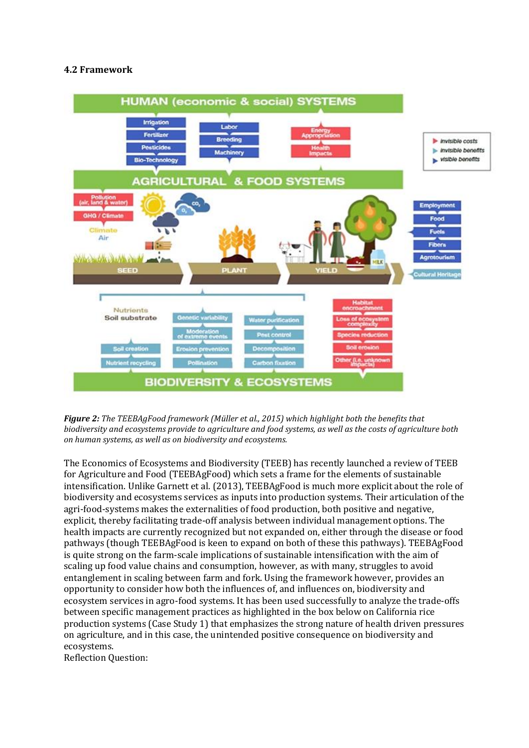# **4.2 Framework**



*Figure 2: The TEEBAgFood framework (Müller et al., 2015) which highlight both the benefits that biodiversity and ecosystems provide to agriculture and food systems, as well as the costs of agriculture both on human systems, as well as on biodiversity and ecosystems.*

The Economics of Ecosystems and Biodiversity (TEEB) has recently launched a review of TEEB for Agriculture and Food (TEEBAgFood) which sets a frame for the elements of sustainable intensification. Unlike Garnett et al. (2013), TEEBAgFood is much more explicit about the role of biodiversity and ecosystems services as inputs into production systems. Their articulation of the agri-food-systems makes the externalities of food production, both positive and negative, explicit, thereby facilitating trade-off analysis between individual management options. The health impacts are currently recognized but not expanded on, either through the disease or food pathways (though TEEBAgFood is keen to expand on both of these this pathways). TEEBAgFood is quite strong on the farm-scale implications of sustainable intensification with the aim of scaling up food value chains and consumption, however, as with many, struggles to avoid entanglement in scaling between farm and fork. Using the framework however, provides an opportunity to consider how both the influences of, and influences on, biodiversity and ecosystem services in agro-food systems. It has been used successfully to analyze the trade-offs between specific management practices as highlighted in the box below on California rice production systems (Case Study 1) that emphasizes the strong nature of health driven pressures on agriculture, and in this case, the unintended positive consequence on biodiversity and ecosystems.

Reflection Question: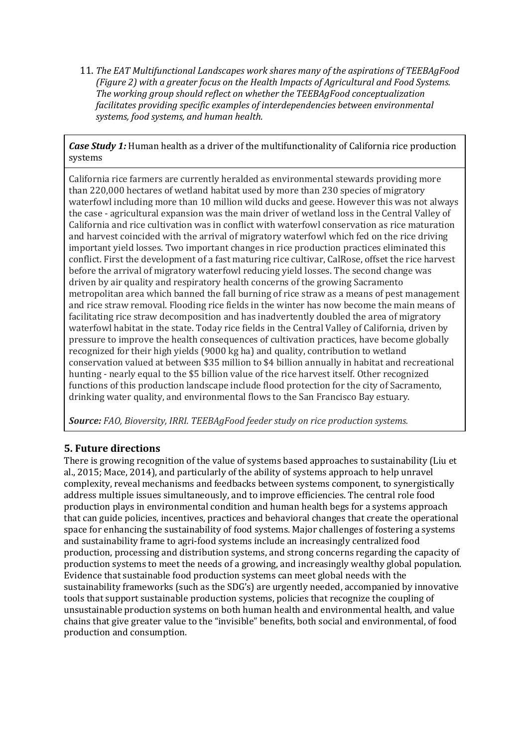11. *The EAT Multifunctional Landscapes work shares many of the aspirations of TEEBAgFood (Figure 2) with a greater focus on the Health Impacts of Agricultural and Food Systems. The working group should reflect on whether the TEEBAgFood conceptualization facilitates providing specific examples of interdependencies between environmental systems, food systems, and human health.*

*Case Study 1:* Human health as a driver of the multifunctionality of California rice production systems

California rice farmers are currently heralded as environmental stewards providing more than 220,000 hectares of wetland habitat used by more than 230 species of migratory waterfowl including more than 10 million wild ducks and geese. However this was not always the case - agricultural expansion was the main driver of wetland loss in the Central Valley of California and rice cultivation was in conflict with waterfowl conservation as rice maturation and harvest coincided with the arrival of migratory waterfowl which fed on the rice driving important yield losses. Two important changes in rice production practices eliminated this conflict. First the development of a fast maturing rice cultivar, CalRose, offset the rice harvest before the arrival of migratory waterfowl reducing yield losses. The second change was driven by air quality and respiratory health concerns of the growing Sacramento metropolitan area which banned the fall burning of rice straw as a means of pest management and rice straw removal. Flooding rice fields in the winter has now become the main means of facilitating rice straw decomposition and has inadvertently doubled the area of migratory waterfowl habitat in the state. Today rice fields in the Central Valley of California, driven by pressure to improve the health consequences of cultivation practices, have become globally recognized for their high yields (9000 kg ha) and quality, contribution to wetland conservation valued at between \$35 million to \$4 billion annually in habitat and recreational hunting - nearly equal to the \$5 billion value of the rice harvest itself. Other recognized functions of this production landscape include flood protection for the city of Sacramento, drinking water quality, and environmental flows to the San Francisco Bay estuary.

*Source: FAO, Bioversity, IRRI. TEEBAgFood feeder study on rice production systems.*

# **5. Future directions**

There is growing recognition of the value of systems based approaches to sustainability (Liu et al., 2015; Mace, 2014), and particularly of the ability of systems approach to help unravel complexity, reveal mechanisms and feedbacks between systems component, to synergistically address multiple issues simultaneously, and to improve efficiencies. The central role food production plays in environmental condition and human health begs for a systems approach that can guide policies, incentives, practices and behavioral changes that create the operational space for enhancing the sustainability of food systems. Major challenges of fostering a systems and sustainability frame to agri-food systems include an increasingly centralized food production, processing and distribution systems, and strong concerns regarding the capacity of production systems to meet the needs of a growing, and increasingly wealthy global population. Evidence that sustainable food production systems can meet global needs with the sustainability frameworks (such as the SDG's) are urgently needed, accompanied by innovative tools that support sustainable production systems, policies that recognize the coupling of unsustainable production systems on both human health and environmental health, and value chains that give greater value to the "invisible" benefits, both social and environmental, of food production and consumption.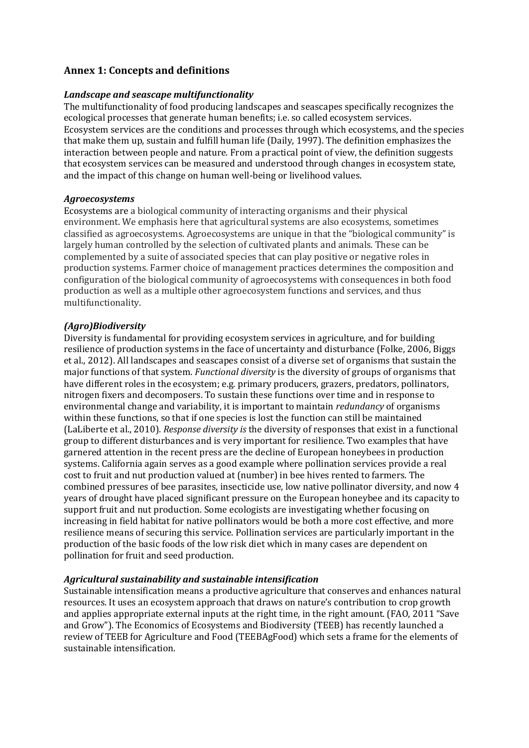# **Annex 1: Concepts and definitions**

## *Landscape and seascape multifunctionality*

The multifunctionality of food producing landscapes and seascapes specifically recognizes the ecological processes that generate human benefits; i.e. so called ecosystem services. Ecosystem services are the conditions and processes through which ecosystems, and the species that make them up, sustain and fulfill human life (Daily, 1997). The definition emphasizes the interaction between people and nature. From a practical point of view, the definition suggests that ecosystem services can be measured and understood through changes in ecosystem state, and the impact of this change on human well-being or livelihood values.

## *Agroecosystems*

Ecosystems are a biological community of interacting organisms and their physical environment. We emphasis here that agricultural systems are also ecosystems, sometimes classified as agroecosystems. Agroecosystems are unique in that the "biological community" is largely human controlled by the selection of cultivated plants and animals. These can be complemented by a suite of associated species that can play positive or negative roles in production systems. Farmer choice of management practices determines the composition and configuration of the biological community of agroecosystems with consequences in both food production as well as a multiple other agroecosystem functions and services, and thus multifunctionality.

## *(Agro)Biodiversity*

Diversity is fundamental for providing ecosystem services in agriculture, and for building resilience of production systems in the face of uncertainty and disturbance (Folke, 2006, Biggs et al., 2012). All landscapes and seascapes consist of a diverse set of organisms that sustain the major functions of that system. *Functional diversity* is the diversity of groups of organisms that have different roles in the ecosystem; e.g. primary producers, grazers, predators, pollinators, nitrogen fixers and decomposers. To sustain these functions over time and in response to environmental change and variability, it is important to maintain *redundancy* of organisms within these functions, so that if one species is lost the function can still be maintained (LaLiberte et al., 2010). *Response diversity is* the diversity of responses that exist in a functional group to different disturbances and is very important for resilience. Two examples that have garnered attention in the recent press are the decline of European honeybees in production systems. California again serves as a good example where pollination services provide a real cost to fruit and nut production valued at (number) in bee hives rented to farmers. The combined pressures of bee parasites, insecticide use, low native pollinator diversity, and now 4 years of drought have placed significant pressure on the European honeybee and its capacity to support fruit and nut production. Some ecologists are investigating whether focusing on increasing in field habitat for native pollinators would be both a more cost effective, and more resilience means of securing this service. Pollination services are particularly important in the production of the basic foods of the low risk diet which in many cases are dependent on pollination for fruit and seed production.

#### *Agricultural sustainability and sustainable intensification*

Sustainable intensification means a productive agriculture that conserves and enhances natural resources. It uses an ecosystem approach that draws on nature's contribution to crop growth and applies appropriate external inputs at the right time, in the right amount. (FAO, 2011 "Save and Grow"). The Economics of Ecosystems and Biodiversity (TEEB) has recently launched a review of TEEB for Agriculture and Food (TEEBAgFood) which sets a frame for the elements of sustainable intensification.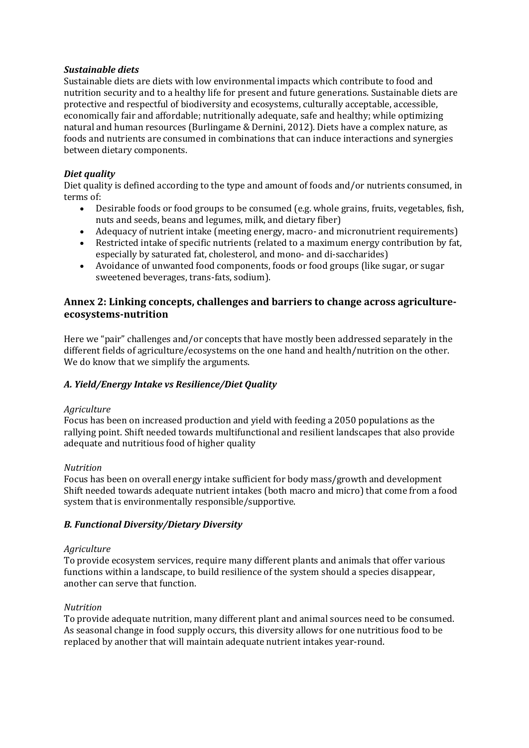# *Sustainable diets*

Sustainable diets are diets with low environmental impacts which contribute to food and nutrition security and to a healthy life for present and future generations. Sustainable diets are protective and respectful of biodiversity and ecosystems, culturally acceptable, accessible, economically fair and affordable; nutritionally adequate, safe and healthy; while optimizing natural and human resources (Burlingame & Dernini, 2012)*.* Diets have a complex nature, as foods and nutrients are consumed in combinations that can induce interactions and synergies between dietary components.

# *Diet quality*

Diet quality is defined according to the type and amount of foods and/or nutrients consumed, in terms of:

- Desirable foods or food groups to be consumed (e.g. whole grains, fruits, vegetables, fish, nuts and seeds, beans and legumes, milk, and dietary fiber)
- Adequacy of nutrient intake (meeting energy, macro- and micronutrient requirements)
- Restricted intake of specific nutrients (related to a maximum energy contribution by fat, especially by saturated fat, cholesterol, and mono- and di-saccharides)
- Avoidance of unwanted food components, foods or food groups (like sugar, or sugar sweetened beverages, trans-fats, sodium).

# **Annex 2: Linking concepts, challenges and barriers to change across agricultureecosystems-nutrition**

Here we "pair" challenges and/or concepts that have mostly been addressed separately in the different fields of agriculture/ecosystems on the one hand and health/nutrition on the other. We do know that we simplify the arguments.

# *A. Yield/Energy Intake vs Resilience/Diet Quality*

#### *Agriculture*

Focus has been on increased production and yield with feeding a 2050 populations as the rallying point. Shift needed towards multifunctional and resilient landscapes that also provide adequate and nutritious food of higher quality

#### *Nutrition*

Focus has been on overall energy intake sufficient for body mass/growth and development Shift needed towards adequate nutrient intakes (both macro and micro) that come from a food system that is environmentally responsible/supportive.

# *B. Functional Diversity/Dietary Diversity*

#### *Agriculture*

To provide ecosystem services, require many different plants and animals that offer various functions within a landscape, to build resilience of the system should a species disappear, another can serve that function.

#### *Nutrition*

To provide adequate nutrition, many different plant and animal sources need to be consumed. As seasonal change in food supply occurs, this diversity allows for one nutritious food to be replaced by another that will maintain adequate nutrient intakes year-round.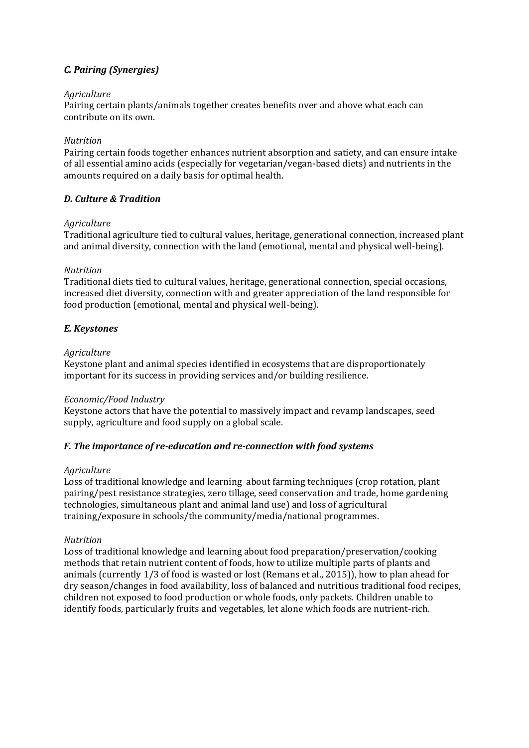# *C. Pairing (Synergies)*

# *Agriculture*

Pairing certain plants/animals together creates benefits over and above what each can contribute on its own.

#### *Nutrition*

Pairing certain foods together enhances nutrient absorption and satiety, and can ensure intake of all essential amino acids (especially for vegetarian/vegan-based diets) and nutrients in the amounts required on a daily basis for optimal health.

# *D. Culture & Tradition*

#### *Agriculture*

Traditional agriculture tied to cultural values, heritage, generational connection, increased plant and animal diversity, connection with the land (emotional, mental and physical well-being).

#### *Nutrition*

Traditional diets tied to cultural values, heritage, generational connection, special occasions, increased diet diversity, connection with and greater appreciation of the land responsible for food production (emotional, mental and physical well-being).

## *E. Keystones*

#### *Agriculture*

Keystone plant and animal species identified in ecosystems that are disproportionately important for its success in providing services and/or building resilience.

#### *Economic/Food Industry*

Keystone actors that have the potential to massively impact and revamp landscapes, seed supply, agriculture and food supply on a global scale.

# *F. The importance of re-education and re-connection with food systems*

#### *Agriculture*

Loss of traditional knowledge and learning about farming techniques (crop rotation, plant pairing/pest resistance strategies, zero tillage, seed conservation and trade, home gardening technologies, simultaneous plant and animal land use) and loss of agricultural training/exposure in schools/the community/media/national programmes.

#### *Nutrition*

Loss of traditional knowledge and learning about food preparation/preservation/cooking methods that retain nutrient content of foods, how to utilize multiple parts of plants and animals (currently 1/3 of food is wasted or lost (Remans et al., 2015)), how to plan ahead for dry season/changes in food availability, loss of balanced and nutritious traditional food recipes, children not exposed to food production or whole foods, only packets. Children unable to identify foods, particularly fruits and vegetables, let alone which foods are nutrient-rich.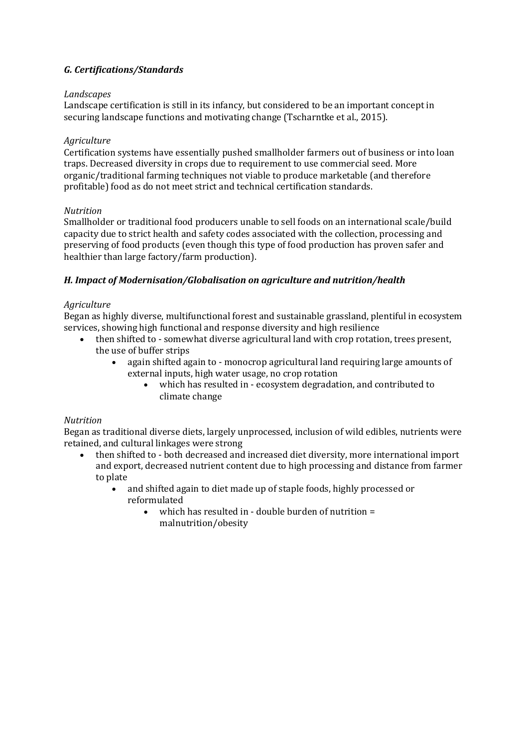# *G. Certifications/Standards*

# *Landscapes*

Landscape certification is still in its infancy, but considered to be an important concept in securing landscape functions and motivating change (Tscharntke et al., 2015).

# *Agriculture*

Certification systems have essentially pushed smallholder farmers out of business or into loan traps. Decreased diversity in crops due to requirement to use commercial seed. More organic/traditional farming techniques not viable to produce marketable (and therefore profitable) food as do not meet strict and technical certification standards.

## *Nutrition*

Smallholder or traditional food producers unable to sell foods on an international scale/build capacity due to strict health and safety codes associated with the collection, processing and preserving of food products (even though this type of food production has proven safer and healthier than large factory/farm production).

# *H. Impact of Modernisation/Globalisation on agriculture and nutrition/health*

## *Agriculture*

Began as highly diverse, multifunctional forest and sustainable grassland, plentiful in ecosystem services, showing high functional and response diversity and high resilience

- then shifted to somewhat diverse agricultural land with crop rotation, trees present, the use of buffer strips
	- again shifted again to monocrop agricultural land requiring large amounts of external inputs, high water usage, no crop rotation
		- which has resulted in ecosystem degradation, and contributed to climate change

# *Nutrition*

Began as traditional diverse diets, largely unprocessed, inclusion of wild edibles, nutrients were retained, and cultural linkages were strong

- then shifted to both decreased and increased diet diversity, more international import and export, decreased nutrient content due to high processing and distance from farmer to plate
	- and shifted again to diet made up of staple foods, highly processed or reformulated
		- which has resulted in double burden of nutrition = malnutrition/obesity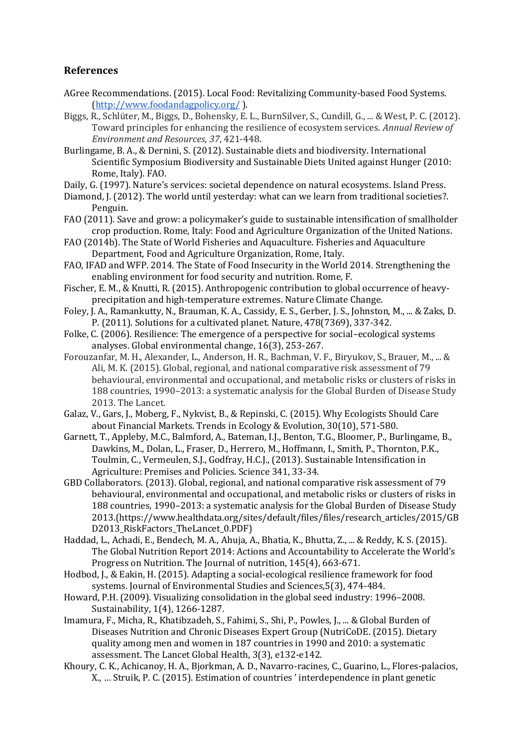# **References**

- AGree Recommendations. (2015). Local Food: Revitalizing Community-based Food Systems. [\(http://www.foodandagpolicy.org/](http://www.foodandagpolicy.org/) ).
- Biggs, R., Schlüter, M., Biggs, D., Bohensky, E. L., BurnSilver, S., Cundill, G., ... & West, P. C. (2012). Toward principles for enhancing the resilience of ecosystem services. *Annual Review of Environment and Resources*, *37*, 421-448.
- Burlingame, B. A., & Dernini, S. (2012). Sustainable diets and biodiversity. International Scientific Symposium Biodiversity and Sustainable Diets United against Hunger (2010: Rome, Italy). FAO.
- Daily, G. (1997). Nature's services: societal dependence on natural ecosystems. Island Press.
- Diamond, J. (2012). The world until yesterday: what can we learn from traditional societies?. Penguin.
- FAO (2011). Save and grow: a policymaker's guide to sustainable intensification of smallholder crop production. Rome, Italy: Food and Agriculture Organization of the United Nations.
- FAO (2014b). The State of World Fisheries and Aquaculture. Fisheries and Aquaculture Department, Food and Agriculture Organization, Rome, Italy.
- FAO, IFAD and WFP. 2014. The State of Food Insecurity in the World 2014. Strengthening the enabling environment for food security and nutrition. Rome, F.
- Fischer, E. M., & Knutti, R. (2015). Anthropogenic contribution to global occurrence of heavyprecipitation and high-temperature extremes. Nature Climate Change.
- Foley, J. A., Ramankutty, N., Brauman, K. A., Cassidy, E. S., Gerber, J. S., Johnston, M., ... & Zaks, D. P. (2011). Solutions for a cultivated planet. Nature, 478(7369), 337-342.
- Folke, C. (2006). Resilience: The emergence of a perspective for social–ecological systems analyses. Global environmental change, 16(3), 253-267.
- Forouzanfar, M. H., Alexander, L., Anderson, H. R., Bachman, V. F., Biryukov, S., Brauer, M., ... & Ali, M. K. (2015). Global, regional, and national comparative risk assessment of 79 behavioural, environmental and occupational, and metabolic risks or clusters of risks in 188 countries, 1990–2013: a systematic analysis for the Global Burden of Disease Study 2013. The Lancet.
- Galaz, V., Gars, J., Moberg, F., Nykvist, B., & Repinski, C. (2015). Why Ecologists Should Care about Financial Markets. Trends in Ecology & Evolution, 30(10), 571-580.
- Garnett, T., Appleby, M.C., Balmford, A., Bateman, I.J., Benton, T.G., Bloomer, P., Burlingame, B., Dawkins, M., Dolan, L., Fraser, D., Herrero, M., Hoffmann, I., Smith, P., Thornton, P.K., Toulmin, C., Vermeulen, S.J., Godfray, H.C.J., (2013). Sustainable Intensification in Agriculture: Premises and Policies. Science 341, 33-34.
- GBD Collaborators. (2013). Global, regional, and national comparative risk assessment of 79 behavioural, environmental and occupational, and metabolic risks or clusters of risks in 188 countries, 1990–2013: a systematic analysis for the Global Burden of Disease Study 2013.(https://www.healthdata.org/sites/default/files/files/research\_articles/2015/GB D2013\_RiskFactors\_TheLancet\_0.PDF)
- Haddad, L., Achadi, E., Bendech, M. A., Ahuja, A., Bhatia, K., Bhutta, Z., ... & Reddy, K. S. (2015). The Global Nutrition Report 2014: Actions and Accountability to Accelerate the World's Progress on Nutrition. The Journal of nutrition, 145(4), 663-671.
- Hodbod, J., & Eakin, H. (2015). Adapting a social-ecological resilience framework for food systems. Journal of Environmental Studies and Sciences,5(3), 474-484.
- Howard, P.H. (2009). Visualizing consolidation in the global seed industry: 1996–2008. Sustainability, 1(4), 1266-1287.
- Imamura, F., Micha, R., Khatibzadeh, S., Fahimi, S., Shi, P., Powles, J., ... & Global Burden of Diseases Nutrition and Chronic Diseases Expert Group (NutriCoDE. (2015). Dietary quality among men and women in 187 countries in 1990 and 2010: a systematic assessment. The Lancet Global Health, 3(3), e132-e142.
- Khoury, C. K., Achicanoy, H. A., Bjorkman, A. D., Navarro-racines, C., Guarino, L., Flores-palacios, X., … Struik, P. C. (2015). Estimation of countries ' interdependence in plant genetic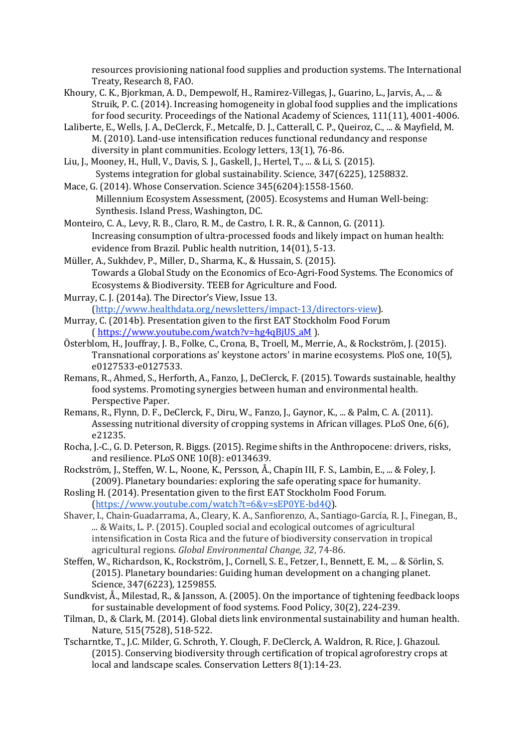resources provisioning national food supplies and production systems. The International Treaty, Research 8, FAO.

- Khoury, C. K., Bjorkman, A. D., Dempewolf, H., Ramirez-Villegas, J., Guarino, L., Jarvis, A., ... & Struik, P. C. (2014). Increasing homogeneity in global food supplies and the implications for food security. Proceedings of the National Academy of Sciences, 111(11), 4001-4006.
- Laliberte, E., Wells, J. A., DeClerck, F., Metcalfe, D. J., Catterall, C. P., Queiroz, C., ... & Mayfield, M. M. (2010). Land‐use intensification reduces functional redundancy and response diversity in plant communities. Ecology letters, 13(1), 76-86.
- Liu, J., Mooney, H., Hull, V., Davis, S. J., Gaskell, J., Hertel, T., ... & Li, S. (2015). Systems integration for global sustainability. Science, 347(6225), 1258832.
- Mace, G. (2014). Whose Conservation. Science 345(6204):1558-1560. Millennium Ecosystem Assessment, (2005). Ecosystems and Human Well-being: Synthesis. Island Press, Washington, DC.
- Monteiro, C. A., Levy, R. B., Claro, R. M., de Castro, I. R. R., & Cannon, G. (2011). Increasing consumption of ultra-processed foods and likely impact on human health: evidence from Brazil. Public health nutrition, 14(01), 5-13.
- Müller, A., Sukhdev, P., Miller, D., Sharma, K., & Hussain, S. (2015). Towards a Global Study on the Economics of Eco-Agri-Food Systems. The Economics of Ecosystems & Biodiversity. TEEB for Agriculture and Food.
- Murray, C. J. (2014a). The Director's View, Issue 13. [\(http://www.healthdata.org/newsletters/impact-13/directors-view\)](http://www.healthdata.org/newsletters/impact-13/directors-view).
- Murray, C. (2014b). Presentation given to the first EAT Stockholm Food Forum ( [https://www.youtube.com/watch?v=hg4qBjUS\\_aM](https://www.youtube.com/watch?v=hg4qBjUS_aM%20) ).
- Österblom, H., Jouffray, J. B., Folke, C., Crona, B., Troell, M., Merrie, A., & Rockström, J. (2015). Transnational corporations as' keystone actors' in marine ecosystems. PloS one, 10(5), e0127533-e0127533.
- Remans, R., Ahmed, S., Herforth, A., Fanzo, J., DeClerck, F. (2015). Towards sustainable, healthy food systems. Promoting synergies between human and environmental health. Perspective Paper.
- Remans, R., Flynn, D. F., DeClerck, F., Diru, W., Fanzo, J., Gaynor, K., ... & Palm, C. A. (2011). Assessing nutritional diversity of cropping systems in African villages. PLoS One, 6(6), e21235.
- Rocha, J.-C., G. D. Peterson, R. Biggs. (2015). Regime shifts in the Anthropocene: drivers, risks, and resilience. PLoS ONE 10(8): e0134639.
- Rockström, J., Steffen, W. L., Noone, K., Persson, Å., Chapin III, F. S., Lambin, E., ... & Foley, J. (2009). Planetary boundaries: exploring the safe operating space for humanity.
- Rosling H. (2014). Presentation given to the first EAT Stockholm Food Forum. [\(https://www.youtube.com/watch?t=6&v=sEP0YE-bd4Q\)](https://www.youtube.com/watch?t=6&v=sEP0YE-bd4Q).
- Shaver, I., Chain-Guadarrama, A., Cleary, K. A., Sanfiorenzo, A., Santiago-García, R. J., Finegan, B., ... & Waits, L. P. (2015). Coupled social and ecological outcomes of agricultural intensification in Costa Rica and the future of biodiversity conservation in tropical agricultural regions. *Global Environmental Change*, *32*, 74-86.
- Steffen, W., Richardson, K., Rockström, J., Cornell, S. E., Fetzer, I., Bennett, E. M., ... & Sörlin, S. (2015). Planetary boundaries: Guiding human development on a changing planet. Science, 347(6223), 1259855.
- Sundkvist, Å., Milestad, R., & Jansson, A. (2005). On the importance of tightening feedback loops for sustainable development of food systems. Food Policy, 30(2), 224-239.
- Tilman, D., & Clark, M. (2014). Global diets link environmental sustainability and human health. Nature, 515(7528), 518-522.
- Tscharntke, T., J.C. Milder, G. Schroth, Y. Clough, F. DeClerck, A. Waldron, R. Rice, J. Ghazoul. (2015). Conserving biodiversity through certification of tropical agroforestry crops at local and landscape scales. Conservation Letters 8(1):14-23.